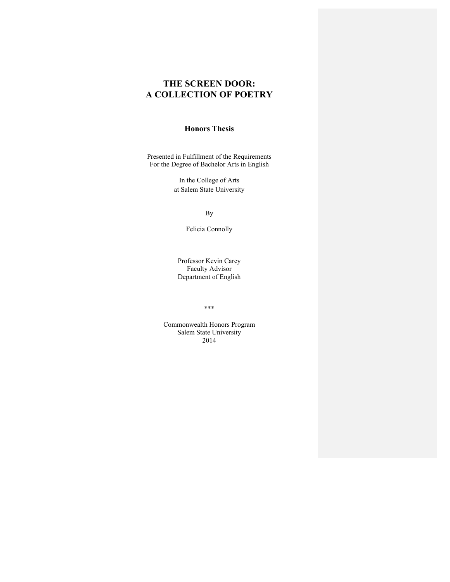# **THE SCREEN DOOR: A COLLECTION OF POETRY**

# **Honors Thesis**

Presented in Fulfillment of the Requirements For the Degree of Bachelor Arts in English

> In the College of Arts at Salem State University

> > By

Felicia Connolly

Professor Kevin Carey Faculty Advisor Department of English

\*\*\*

Commonwealth Honors Program Salem State University 2014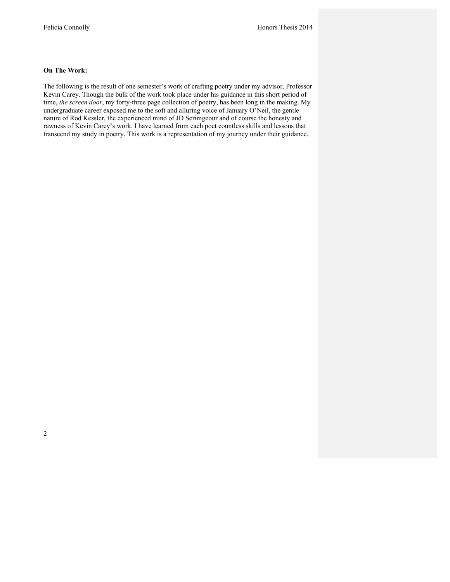#### **On The Work:**

The following is the result of one semester's work of crafting poetry under my advisor, Professor Kevin Carey. Though the bulk of the work took place under his guidance in this short period of time, *the screen door*, my forty-three page collection of poetry, has been long in the making. My undergraduate career exposed me to the soft and alluring voice of January O'Neil, the gentle nature of Rod Kessler, the experienced mind of JD Scrimgeour and of course the honesty and rawness of Kevin Carey's work. I have learned from each poet countless skills and lessons that transcend my study in poetry. This work is a representation of my journey under their guidance.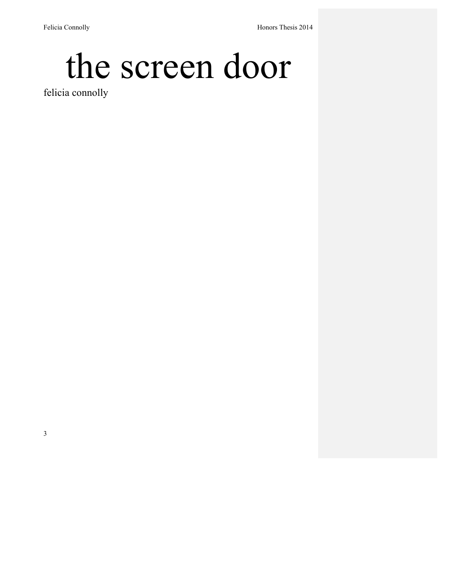# the screen door

felicia connolly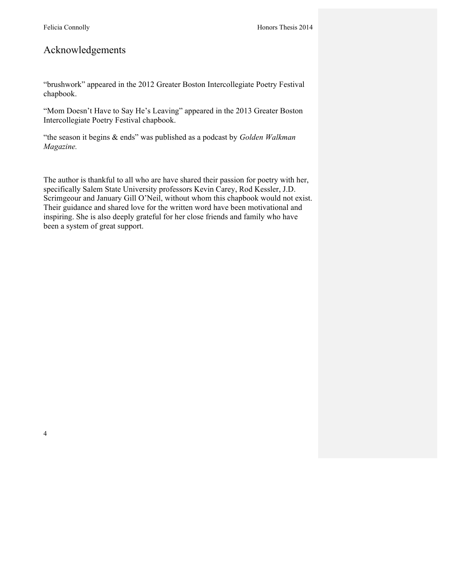# Acknowledgements

"brushwork" appeared in the 2012 Greater Boston Intercollegiate Poetry Festival chapbook.

"Mom Doesn't Have to Say He's Leaving" appeared in the 2013 Greater Boston Intercollegiate Poetry Festival chapbook.

"the season it begins & ends" was published as a podcast by *Golden Walkman Magazine.*

The author is thankful to all who are have shared their passion for poetry with her, specifically Salem State University professors Kevin Carey, Rod Kessler, J.D. Scrimgeour and January Gill O'Neil, without whom this chapbook would not exist. Their guidance and shared love for the written word have been motivational and inspiring. She is also deeply grateful for her close friends and family who have been a system of great support.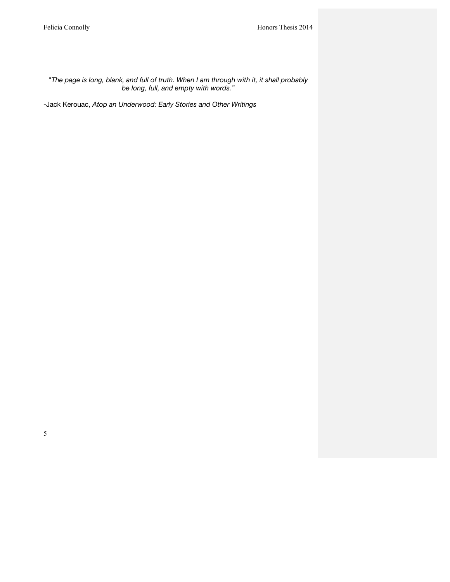*"The page is long, blank, and full of truth. When I am through with it, it shall probably be long, full, and empty with words."*

-Jack Kerouac, *Atop an Underwood: Early Stories and Other Writings*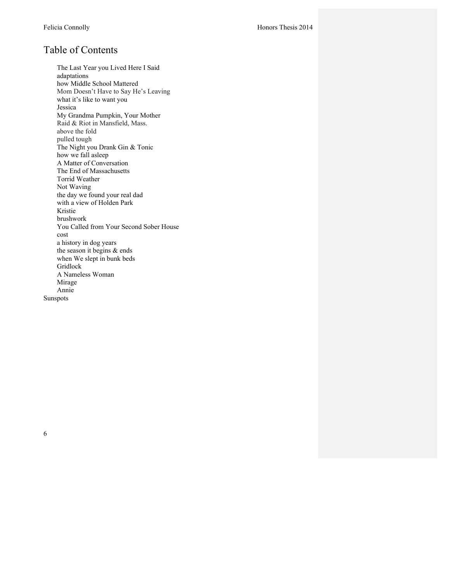# Table of Contents

The Last Year you Lived Here I Said adaptations how Middle School Mattered Mom Doesn't Have to Say He's Leaving what it's like to want you Jessica My Grandma Pumpkin, Your Mother Raid & Riot in Mansfield, Mass. above the fold pulled tough The Night you Drank Gin & Tonic how we fall asleep A Matter of Conversation The End of Massachusetts Torrid Weather Not Waving the day we found your real dad with a view of Holden Park Kristie brushwork You Called from Your Second Sober House cost a history in dog years the season it begins & ends when We slept in bunk beds Gridlock A Nameless Woman Mirage Annie Sunspots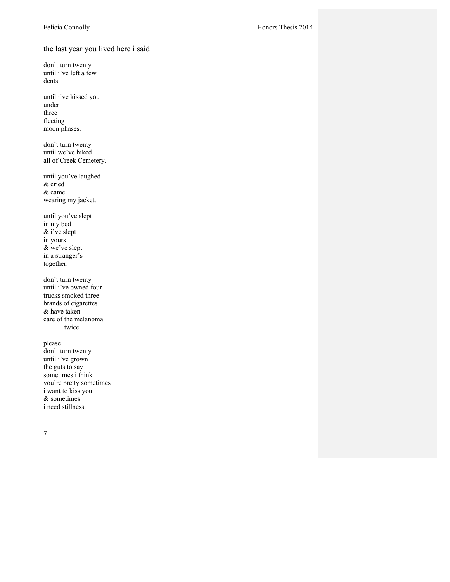the last year you lived here i said

don't turn twenty until i've left a few dents.

until i've kissed you under three fleeting moon phases.

don't turn twenty until we've hiked all of Creek Cemetery.

until you've laughed & cried & came wearing my jacket.

until you've slept in my bed & i've slept in yours & we've slept in a stranger's together.

don't turn twenty until i've owned four trucks smoked three brands of cigarettes & have taken care of the melanoma twice.

please don't turn twenty until i've grown the guts to say sometimes i think you're pretty sometimes i want to kiss you & sometimes i need stillness.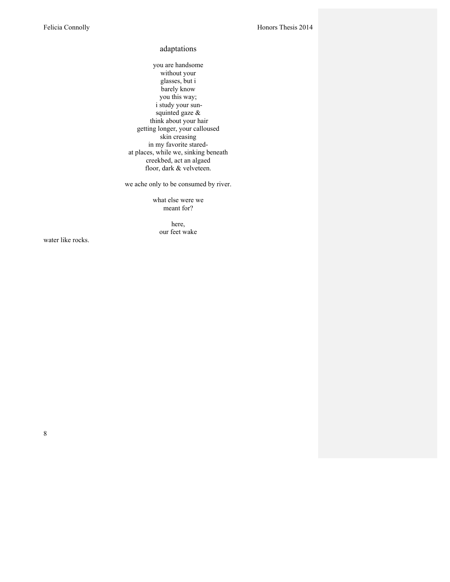#### adaptations

you are handsome without your glasses, but i barely know you this way; i study your sunsquinted gaze & think about your hair getting longer, your calloused skin creasing in my favorite staredat places, while we, sinking beneath creekbed, act an algaed floor, dark & velveteen.

we ache only to be consumed by river.

what else were we meant for?

> here, our feet wake

water like rocks.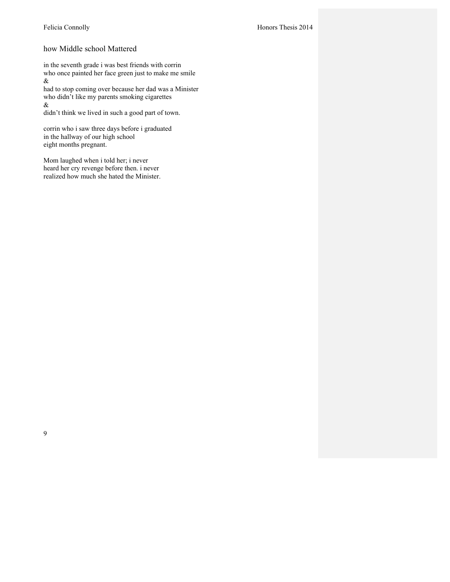# how Middle school Mattered

in the seventh grade i was best friends with corrin who once painted her face green just to make me smile &

had to stop coming over because her dad was a Minister who didn't like my parents smoking cigarettes &

didn't think we lived in such a good part of town.

corrin who i saw three days before i graduated in the hallway of our high school eight months pregnant.

Mom laughed when i told her; i never heard her cry revenge before then. i never realized how much she hated the Minister.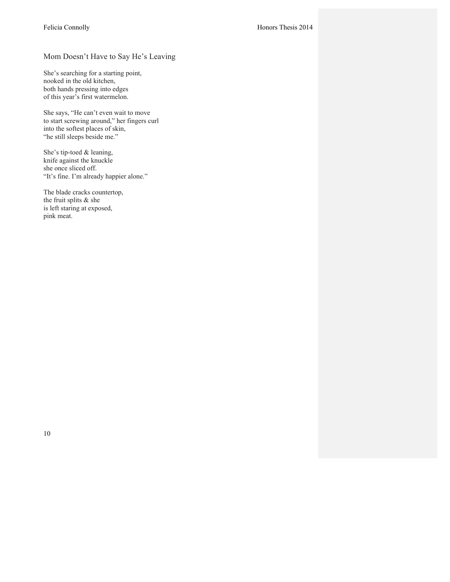# Mom Doesn't Have to Say He's Leaving

She's searching for a starting point, nooked in the old kitchen, both hands pressing into edges of this year's first watermelon.

She says, "He can't even wait to move to start screwing around," her fingers curl into the softest places of skin, "he still sleeps beside me."

She's tip-toed & leaning, knife against the knuckle she once sliced off. "It's fine. I'm already happier alone."

The blade cracks countertop, the fruit splits & she is left staring at exposed, pink meat.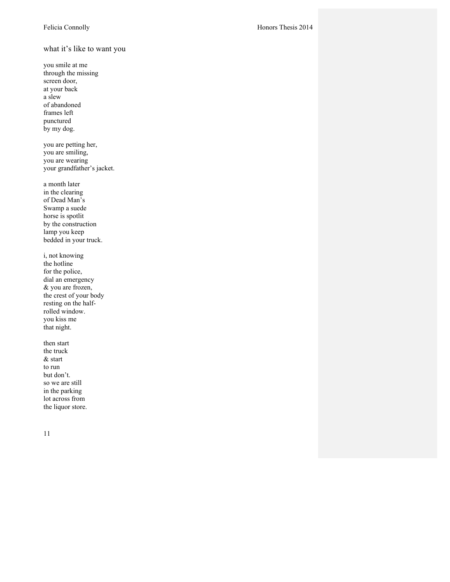what it's like to want you

you smile at me through the missing screen door, at your back a slew of abandoned frames left punctured by my dog.

you are petting her, you are smiling, you are wearing your grandfather's jacket.

a month later in the clearing of Dead Man's Swamp a suede horse is spotlit by the construction lamp you keep bedded in your truck.

i, not knowing the hotline for the police, dial an emergency & you are frozen, the crest of your body resting on the halfrolled window. you kiss me that night.

then start the truck & start to run but don't. so we are still in the parking lot across from the liquor store.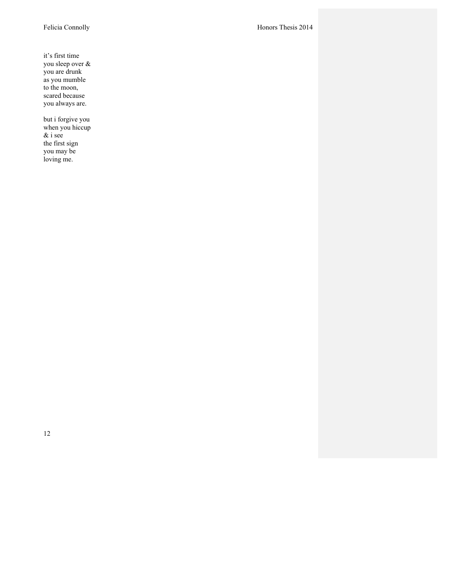it's first time you sleep over & you are drunk as you mumble to the moon, scared because you always are.

but i forgive you when you hiccup & i see the first sign you may be loving me.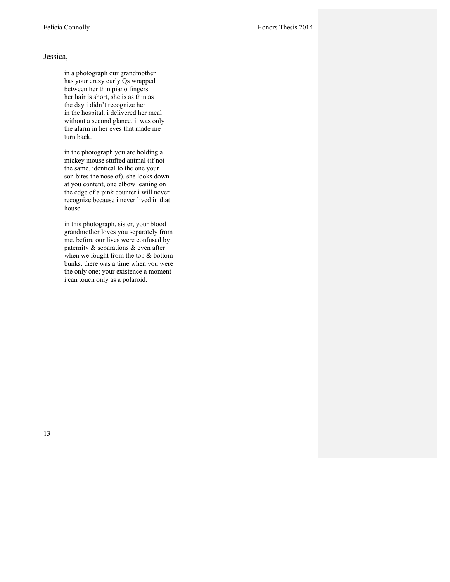in a photograph our grandmother has your crazy curly Qs wrapped between her thin piano fingers. her hair is short, she is as thin as the day i didn't recognize her in the hospital. i delivered her meal without a second glance. it was only the alarm in her eyes that made me turn back.

in the photograph you are holding a mickey mouse stuffed animal (if not the same, identical to the one your son bites the nose of). she looks down at you content, one elbow leaning on the edge of a pink counter i will never recognize because i never lived in that house.

in this photograph, sister, your blood grandmother loves you separately from me. before our lives were confused by paternity & separations & even after when we fought from the top & bottom bunks. there was a time when you were the only one; your existence a moment i can touch only as a polaroid.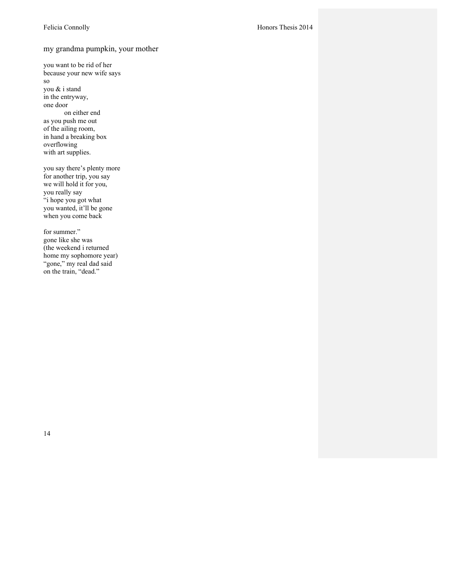## my grandma pumpkin, your mother

you want to be rid of her because your new wife says so you & i stand in the entryway, one door on either end as you push me out of the ailing room, in hand a breaking box overflowing with art supplies.

you say there's plenty more for another trip, you say we will hold it for you, you really say "i hope you got what you wanted, it'll be gone when you come back

for summer." gone like she was (the weekend i returned home my sophomore year) "gone," my real dad said on the train, "dead."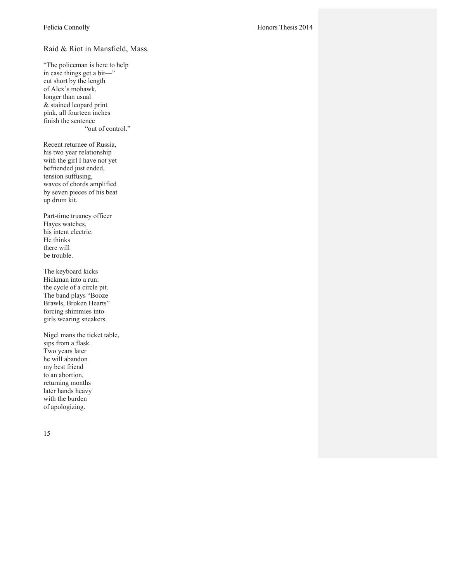## Raid & Riot in Mansfield, Mass.

"The policeman is here to help in case things get a bit—" cut short by the length of Alex's mohawk, longer than usual & stained leopard print pink, all fourteen inches finish the sentence "out of control."

Recent returnee of Russia, his two year relationship with the girl I have not yet befriended just ended, tension suffusing, waves of chords amplified by seven pieces of his beat up drum kit.

Part -time truancy officer Hayes watches, his intent electric. He thinks there will be trouble.

The keyboard kicks Hickman into a run: the cycle of a circle pit. The band plays "Booze Brawls, Broken Hearts" forcing shimmies into girls wearing sneakers.

Nigel mans the ticket table, sips from a flask. Two years later he will abandon my best friend to an abortion, returning months later hands heavy with the burden of apologizing.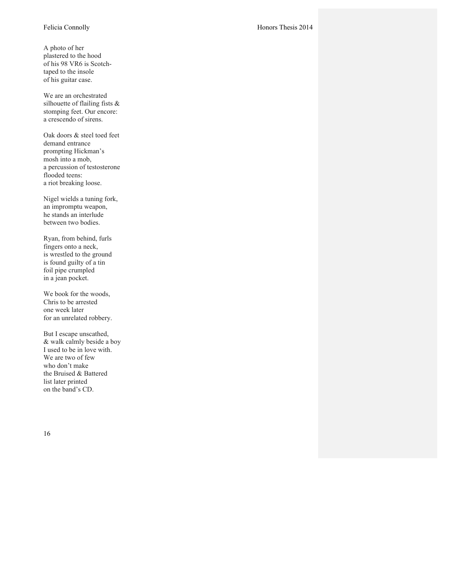A photo of her plastered to the hood of his 98 VR6 is Scotch taped to the insole of his guitar case.

We are an orchestrated silhouette of flailing fists & stomping feet. Our encore: a crescendo of sirens.

Oak doors & steel toed feet demand entrance prompting Hickman's mosh into a mob, a percussion of testosterone flooded teens: a riot breaking loose.

Nigel wields a tuning fork, an impromptu weapon, he stands an interlude between two bodies.

Ryan, from behind, furls fingers onto a neck, is wrestled to the ground is found guilty of a tin foil pipe crumpled in a jean pocket.

We book for the woods, Chris to be arrested one week later for an unrelated robbery.

But I escape unscathed, & walk calmly beside a boy I used to be in love with. We are two of few who don't make the Bruised & Battered list later printed on the band's CD.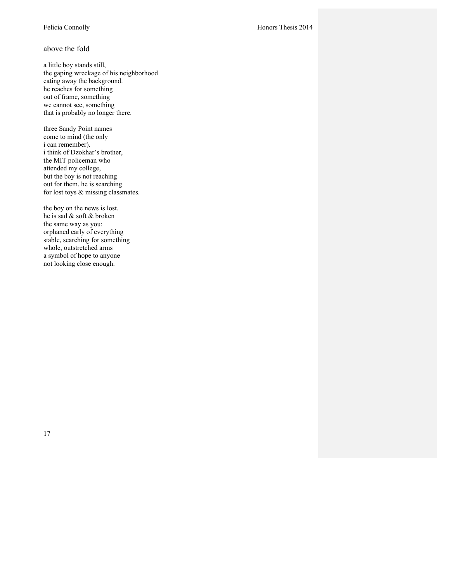#### above the fold

a little boy stands still, the gaping wreckage of his neighborhood eating away the background. he reaches for something out of frame, something we cannot see, something that is probably no longer there.

three Sandy Point names come to mind (the only i can remember). i think of Dzokhar's brother, the MIT policeman who attended my college, but the boy is not reaching out for them. he is searching for lost toys & missing classmates.

the boy on the news is lost. he is sad & soft & broken the same way as you: orphaned early of everything stable, searching for something whole, outstretched arms a symbol of hope to anyone not looking close enough.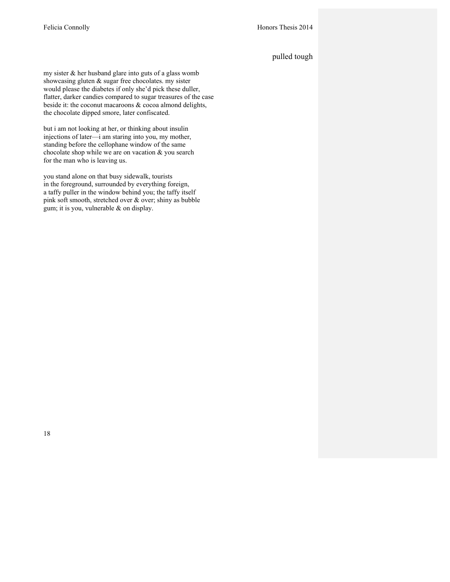# pulled tough

my sister & her husband glare into guts of a glass womb showcasing gluten & sugar free chocolates. my sister would please the diabetes if only she'd pick these duller, flatter, darker candies compared to sugar treasures of the case beside it: the coconut macaroons & cocoa almond delights, the chocolate dipped smore, later confiscated.

but i am not looking at her, or thinking about insulin injections of later—i am staring into you, my mother, standing before the cellophane window of the same chocolate shop while we are on vacation & you search for the man who is leaving us.

you stand alone on that busy sidewalk, tourists in the foreground, surrounded by everything foreign, a taffy puller in the window behind you; the taffy itself pink soft smooth, stretched over & over; shiny as bubble gum; it is you, vulnerable & on display.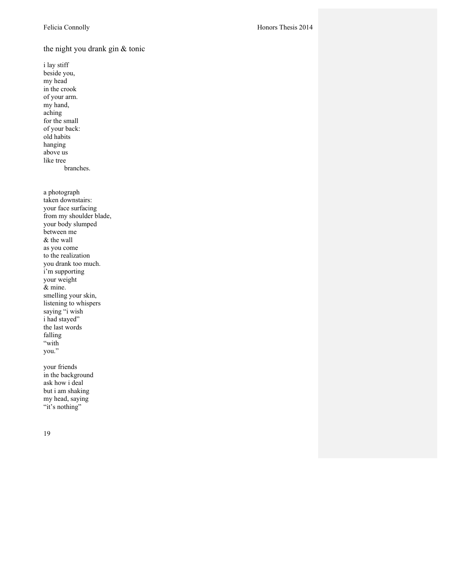# the night you drank gin & tonic

i lay stiff beside you, my head in the crook of your arm. my hand, aching for the small of your back: old habits hanging above us like tree branches.

a photograph taken downstairs: your face surfacing from my shoulder blade, your body slumped between me & the wall as you come to the realization you drank too much. i'm supporting your weight & mine. smelling your skin, listening to whispers saying "i wish i had stayed" the last words falling "with you."

your friends in the background ask how i deal but i am shaking my head, saying "it's nothing"

19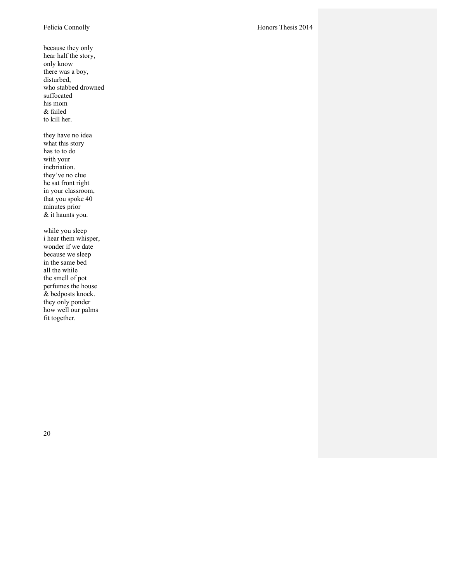because they only hear half the story, only know there was a boy, disturbed, who stabbed drowned suffocated his mom & failed to kill her. they have no idea what this story has to to do with your inebriation. they've no clue he sat front right in your classroom, that you spoke 40 minutes prior & it haunts you.

while you sleep i hear them whisper, wonder if we date because we sleep in the same bed all the while the smell of pot perfumes the house & bedposts knock. they only ponder how well our palms fit together.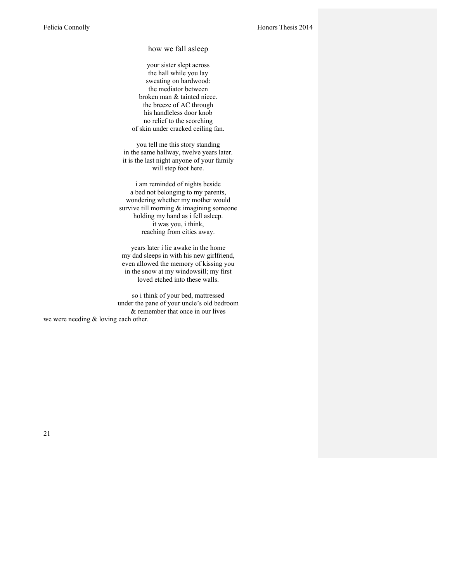how we fall asleep

your sister slept across the hall while you lay sweating on hardwood: the mediator between broken man & tainted niece. the breeze of AC through his handleless door knob no relief to the scorching of skin under cracked ceiling fan.

you tell me this story standing in the same hallway, twelve years later. it is the last night anyone of your family will step foot here.

i am reminded of nights beside a bed not belonging to my parents, wondering whether my mother would survive till morning  $&$  imagining someone holding my hand as i fell asleep. it was you, i think, reaching from cities away.

years later i lie awake in the home my dad sleeps in with his new girlfriend, even allowed the memory of kissing you in the snow at my windowsill; my first loved etched into these walls.

so i think of your bed, mattressed under the pane of your uncle's old bedroom & remember that once in our lives we were needing & loving each other.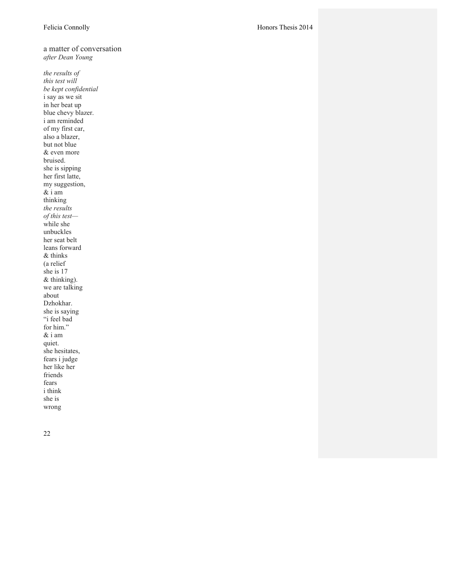a matter of conversation *after Dean Young*

*the results of this test will be kept confidential* i say as we sit in her beat up blue chevy blazer. i am reminded of my first car, also a blazer, but not blue & even more bruised. she is sipping her first latte, my suggestion, & i am thinking *the results of this test* while she unbuckles her seat belt leans forward & thinks (a relief she is 17 & thinking). we are talking about Dzhokhar. she is saying "i feel bad for him." & i am quiet. she hesitates, fears i judge her like her friends fears i think she is wrong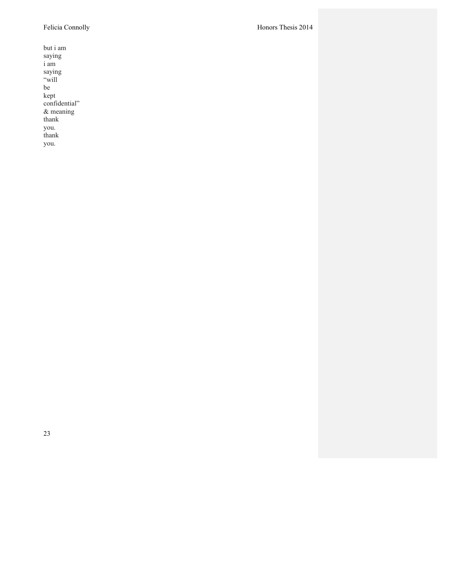but i am saying i am saying "will be kept confidential" & meaning thank you. thank you.

Felicia Connolly Honors Thesis 2014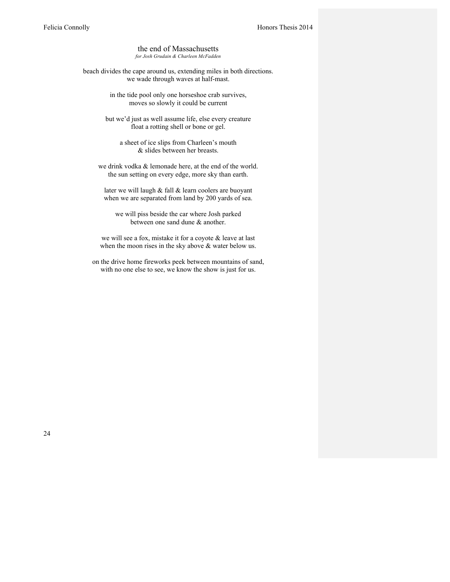the end of Massachusetts *for Josh Grudain & Charleen McFadden*

beach divides the cape around us, extending miles in both directions. we wade through waves at half-mast.

> in the tide pool only one horseshoe crab survives, moves so slowly it could be current

but we'd just as well assume life, else every creature float a rotting shell or bone or gel.

a sheet of ice slips from Charleen's mouth & slides between her breasts.

we drink vodka & lemonade here, at the end of the world. the sun setting on every edge, more sky than earth.

later we will laugh & fall & learn coolers are buoyant when we are separated from land by 200 yards of sea.

we will piss beside the car where Josh parked between one sand dune & another.

we will see a fox, mistake it for a coyote & leave at last when the moon rises in the sky above  $\&$  water below us.

on the drive home fireworks peek between mountains of sand, with no one else to see, we know the show is just for us.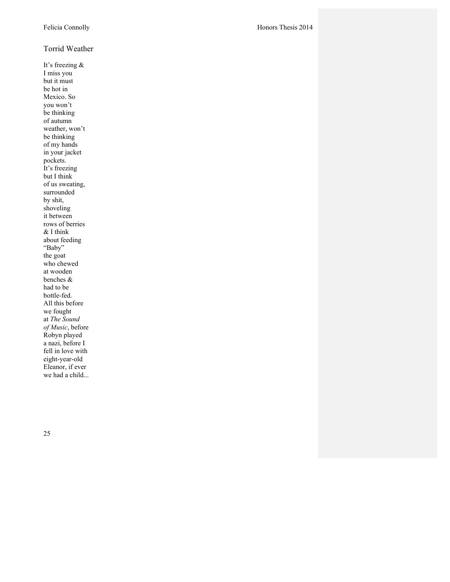#### Torrid Weather

It's freezing & I miss you but it must be hot in Mexico. So you won't be thinking of autumn weather, won't be thinking of my hands in your jacket pockets. It's freezing but I think of us sweating, surrounded by shit, shoveling it between rows of berries & I think about feeding "Baby" the goat who chewed at wooden benches & had to be bottle -fed. All this before we fought at *The Sound of Music*, before Robyn played a nazi, before I fell in love with eight -year -old Eleanor, if ever we had a child...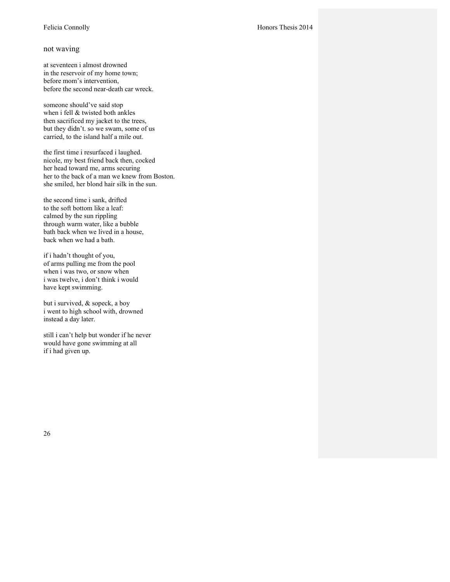#### not waving

at seventeen i almost drowned in the reservoir of my home town; before mom's intervention, before the second near-death car wreck.

someone should've said stop when i fell & twisted both ankles then sacrificed my jacket to the trees, but they didn't. so we swam, some of us carried, to the island half a mile out.

the first time i resurfaced i laughed. nicole, my best friend back then, cocked her head toward me, arms securing her to the back of a man we knew from Boston. she smiled, her blond hair silk in the sun.

the second time i sank, drifted to the soft bottom like a leaf: calmed by the sun rippling through warm water, like a bubble bath back when we lived in a house, back when we had a bath.

if i hadn't thought of you, of arms pulling me from the pool when i was two, or snow when i was twelve, i don't think i would have kept swimming.

but i survived, & sopeck, a boy i went to high school with, drowned instead a day later.

still i can't help but wonder if he never would have gone swimming at all if i had given up.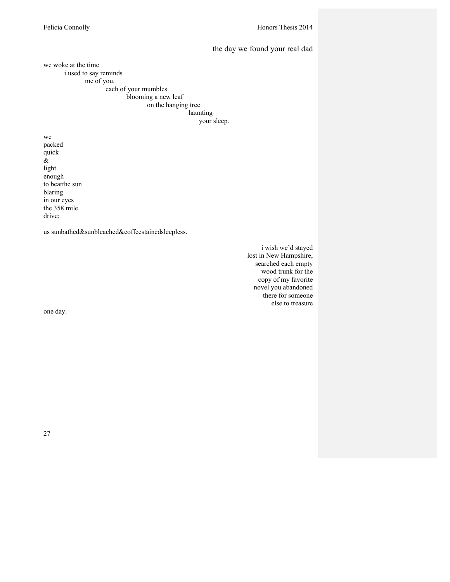#### the day we found your real dad

we woke at the time i used to say reminds me of you.

each of your mumbles blooming a new leaf on the hanging tree haunting your sleep.

we packed quick & light enough to beatthe sun blaring in our eyes the 358 mile drive;

us sunbathed&sunbleached&coffeestainedsleepless.

i wish we'd stayed lost in New Hampshire, searched each empty wood trunk for the copy of my favorite novel you abandoned there for someone else to treasure

one day.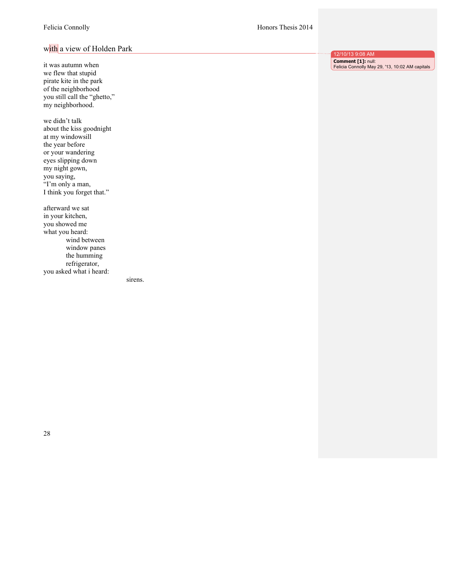#### Felicia Connolly Honors Thesis 2014

# with a view of Holden Park

it was autumn when we flew that stupid pirate kite in the park of the neighborhood you still call the "ghetto," my neighborhood. we didn't talk

about the kiss goodnight at my windowsill the year before or your wandering eyes slipping down my night gown, you saying, "I'm only a man, I think you forget that."

afterward we sat in your kitchen, you showed me what you heard: wind between window panes the humming refrigerator, you asked what i heard:

sirens.

12/10/13 9:08 AM **Comment [1]:** null: Felicia Connolly May 29, '13, 10:02 AM capitals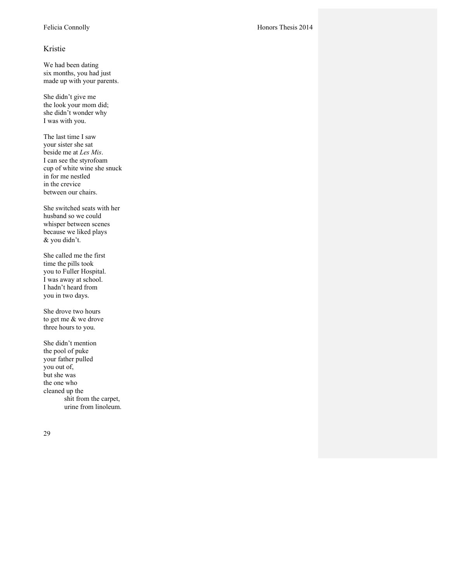#### Kristie

We had been dating six months, you had just made up with your parents.

She didn't give me the look your mom did; she didn't wonder why I was with you.

The last time I saw your sister she sat beside me at *Les Mis*. I can see the styrofoam cup of white wine she snuck in for me nestled in the crevice between our chairs.

She switched seats with her husband so we could whisper between scenes because we liked plays & you didn't.

She called me the first time the pills took you to Fuller Hospital. I was away at school. I hadn't heard from you in two days.

She drove two hours to get me & we drove three hours to you.

She didn't mention the pool of puke your father pulled you out of, but she was the one who cleaned up the shit from the carpet, urine from linoleum.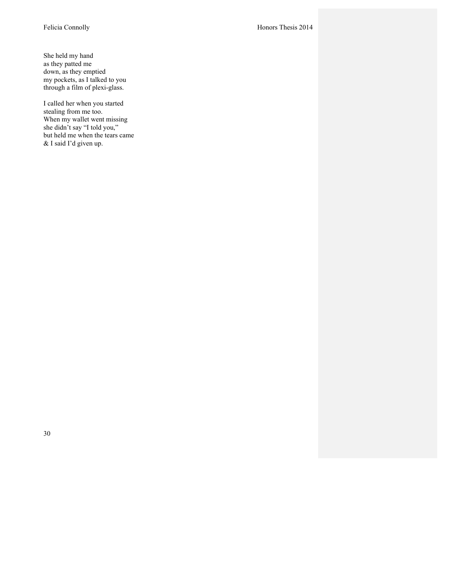She held my hand as they patted me down, as they emptied my pockets, as I talked to you through a film of plexi-glass.

I called her when you started stealing from me too. When my wallet went missing she didn't say "I told you," but held me when the tears came & I said I'd given up.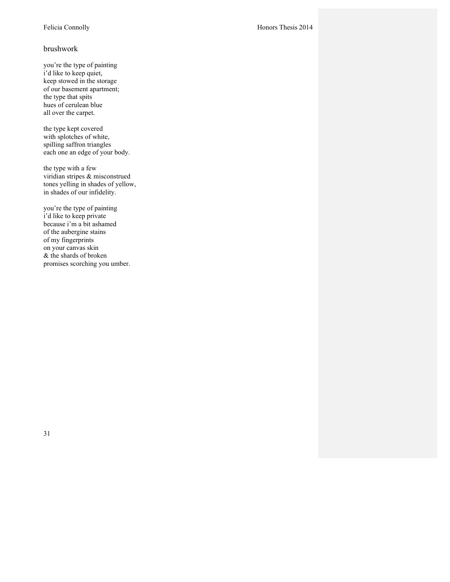#### brushwork

you're the type of painting i'd like to keep quiet, keep stowed in the storage of our basement apartment; the type that spits hues of cerulean blue all over the carpet.

the type kept covered with splotches of white, spilling saffron triangles each one an edge of your body.

the type with a few viridian stripes & misconstrued tones yelling in shades of yellow, in shades of our infidelity.

you're the type of painting i'd like to keep private because i'm a bit ashamed of the aubergine stains of my fingerprints on your canvas skin & the shards of broken promises scorching you umber.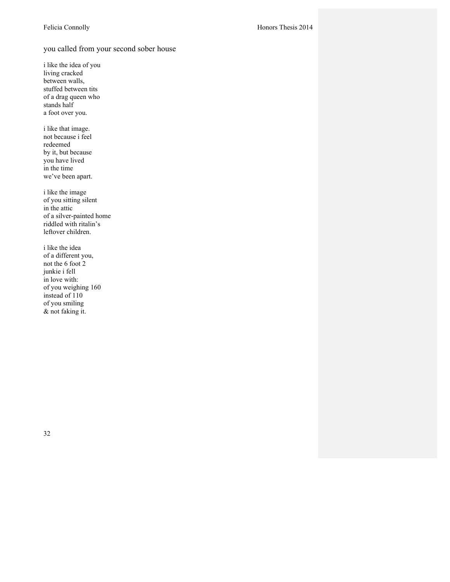## you called from your second sober house

i like the idea of you living cracked between walls, stuffed between tits of a drag queen who stands half a foot over you.

i like that image. not because i feel redeemed by it, but because you have lived in the time we've been apart.

i like the image of you sitting silent in the attic of a silver-painted home riddled with ritalin's leftover children.

i like the idea of a different you, not the 6 foot 2 junkie i fell in love with: of you weighing 160 instead of 110 of you smiling & not faking it.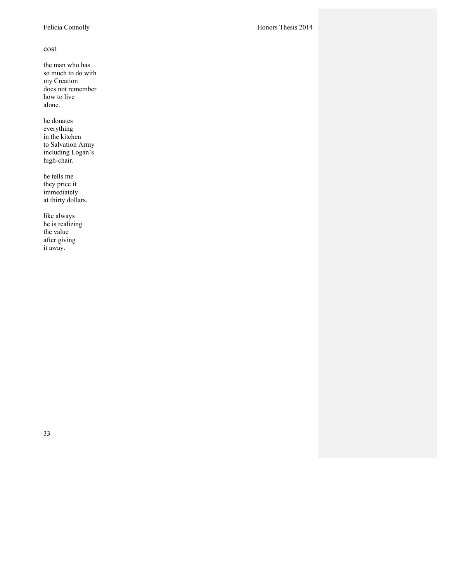#### cost

the man who has so much to do with my Creation does not remember how to live alone.

he donates everything in the kitchen to Salvation Army including Logan's high-chair.

he tells me they price it immediately at thirty dollars.

like always he is realizing the value after giving it away.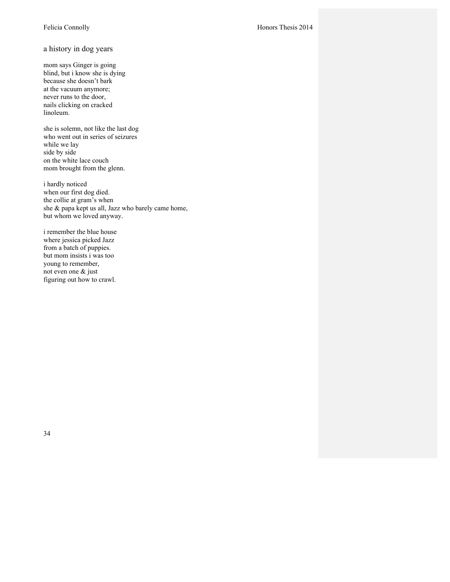#### a history in dog years

mom says Ginger is going blind, but i know she is dying because she doesn't bark at the vacuum anymore; never runs to the door, nails clicking on cracked linoleum.

she is solemn, not like the last dog who went out in series of seizures while we lay side by side on the white lace couch mom brought from the glenn.

i hardly noticed when our first dog died. the collie at gram's when she & papa kept us all, Jazz who barely came home, but whom we loved anyway.

i remember the blue house where jessica picked Jazz from a batch of puppies. but mom insists i was too young to remember, not even one & just figuring out how to crawl.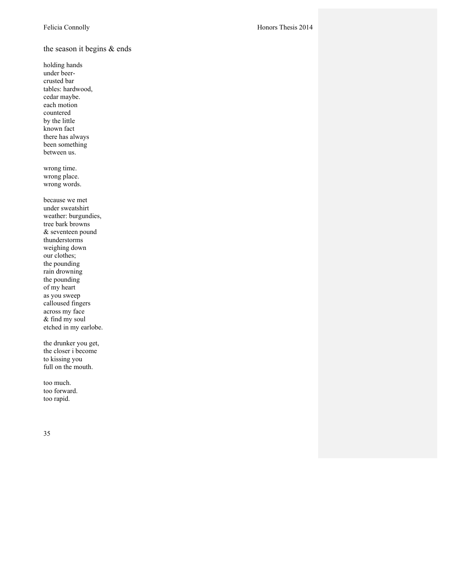the season it begins & ends

holding hands under beer crusted bar tables: hardwood, cedar maybe. each motion countered by the little known fact there has always been something between us.

wrong time. wrong place. wrong words.

because we met under sweatshirt weather: burgundies, tree bark browns & seventeen pound thunderstorms weighing down our clothes; the pounding rain drowning the pounding of my heart as you sweep calloused fingers across my face & find my soul etched in my earlobe.

the drunker you get, the closer i become to kissing you full on the mouth.

too much. too forward. too rapid.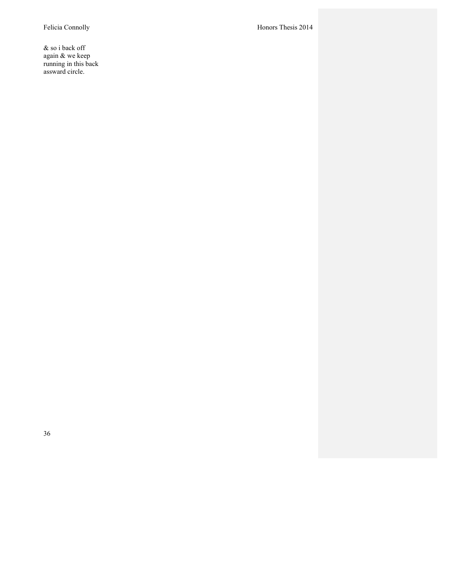& so i back off again & we keep running in this back assward circle.

Felicia Connolly Honors Thesis 2014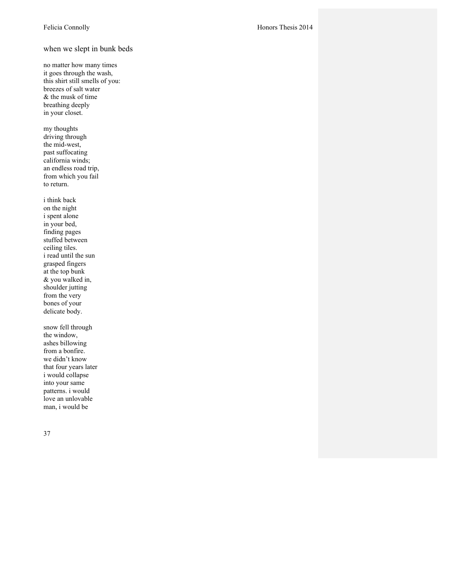#### when we slept in bunk beds

- no matter how many times it goes through the wash, this shirt still smells of you: breezes of salt water & the musk of time breathing deeply in your closet.
- my thoughts driving through the mid -west, past suffocating california winds; an endless road trip, from which you fail to return.
- i think back on the night i spent alone in your bed, finding pages stuffed between ceiling tiles. i read until the sun grasped fingers at the top bunk & you walked in, shoulder jutting from the very bones of your delicate body.
- snow fell through the window, ashes billowing from a bonfire. we didn't know that four years later i would collapse into your same patterns. i would love an unlovable man, i would be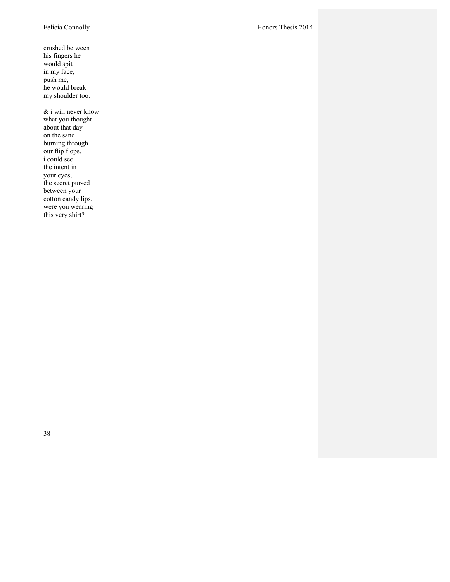crushed between his fingers he would spit in my face, push me, he would break my shoulder too.

& i will never know what you thought about that day on the sand burning through our flip flops. i could see the intent in your eyes, the secret pursed between your cotton candy lips. were you wearing this very shirt?

Felicia Connolly Honors Thesis 2014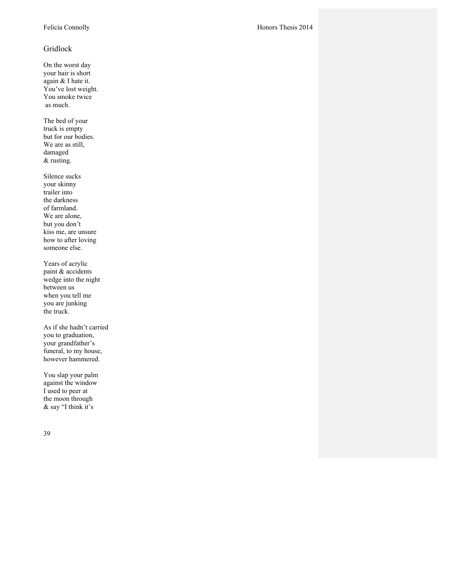# Gridlock

On the worst day your hair is short again & I hate it. You've lost weight. You smoke twice as much.

The bed of your truck is empty but for our bodies. We are as still, damaged & rusting .

Silence sucks your skinny trailer into the darkness of farmland. We are alone, but you don't kiss me, are unsure how to after loving someone else.

Years of acrylic paint & accidents wedge into the night between us when you tell me you are junking the truck.

As if she hadn't carried you to graduation, your grandfather's funeral, to my house, however hammered.

You slap your palm against the window I used to peer at the moon through & say "I think it's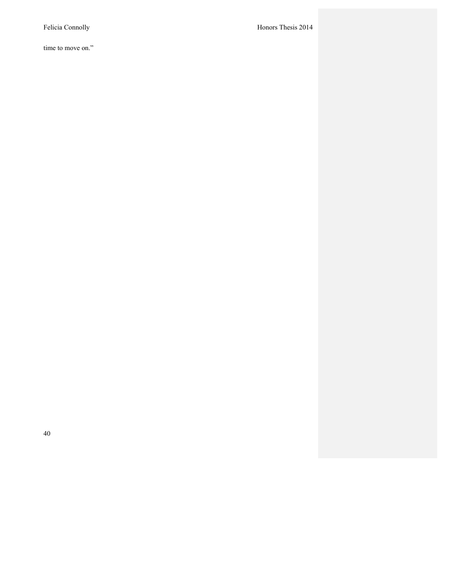time to move on."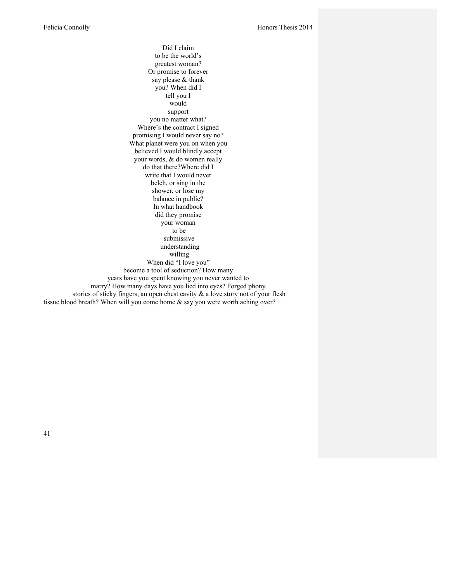Did I claim to be the world's greatest woman? Or promise to forever say please & thank you? When did I tell you I would support you no matter what? Where's the contract I signed promising I would never say no? What planet were you on when you believed I would blindly accept your words, & do women really do that there?Where did I write that I would never belch, or sing in the shower, or lose my balance in public? In what handbook did they promise your woman to be submissive understanding willing When did "I love you" become a tool of seduction? How many years have you spent knowing you never wanted to marry? How many days have you lied into eyes? Forged phony stories of sticky fingers, an open chest cavity & a love story not of your flesh tissue blood breath? When will you come home & say you were worth aching over?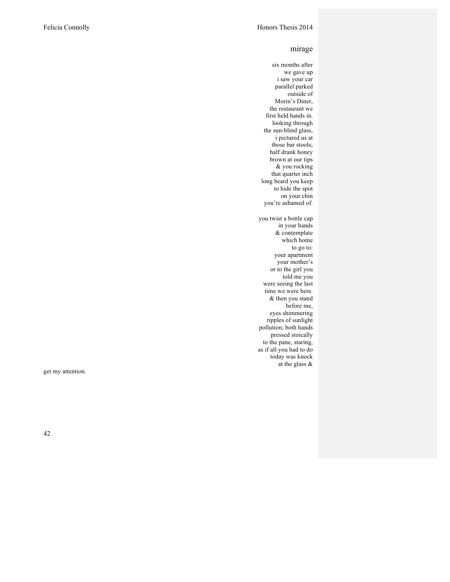#### mirage

six months after we gave up i saw your car parallel parked outside of Morin's Diner, the restaurant we first held hands in. looking through the sun -blind glass, i pictured us at those bar stools; half drank honey brown at our tips & you rocking that quarter inch long beard you keep to hide the spot on your chin you're ashamed of. you twist a bottle cap in your hands & contemplate which home to go to: your apartment your mother's or to the girl you told me you were seeing the last time we were here. & then you stand before me, eyes shimmering ripples of sunlight pollution; both hands pressed stoically to the pane, staring, as if all you had to do today was knock at the glass &

get my attention.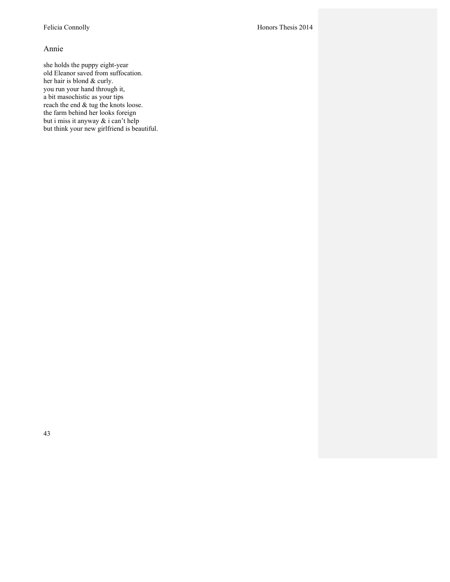#### Annie

she holds the puppy eight-year old Eleanor saved from suffocation. her hair is blond & curly. you run your hand through it, a bit masochistic as your tips reach the end & tug the knots loose. the farm behind her looks foreign but i miss it anyway & i can't help but think your new girlfriend is beautiful.